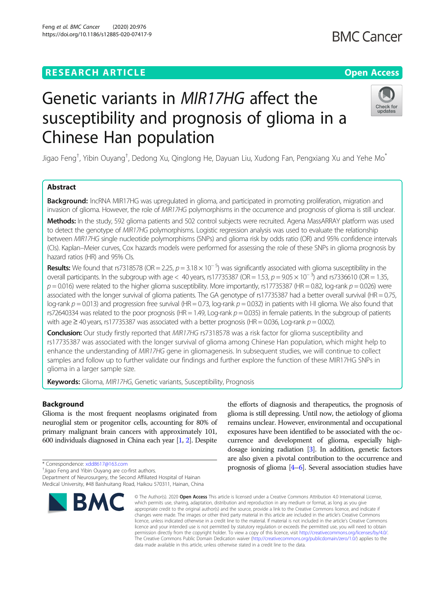# **RESEARCH ARTICLE Example 2014 12:30 The Contract of Contract ACCESS**

# Genetic variants in MIR17HG affect the susceptibility and prognosis of glioma in a Chinese Han population

Jigao Feng $^\dagger$ , Yibin Ouyang $^\dagger$ , Dedong Xu, Qinglong He, Dayuan Liu, Xudong Fan, Pengxiang Xu and Yehe Mo $^*$ 

# Abstract

Background: IncRNA MIR17HG was upregulated in glioma, and participated in promoting proliferation, migration and invasion of glioma. However, the role of MIR17HG polymorphisms in the occurrence and prognosis of glioma is still unclear.

Methods: In the study, 592 glioma patients and 502 control subjects were recruited. Agena MassARRAY platform was used to detect the genotype of MIR17HG polymorphisms. Logistic regression analysis was used to evaluate the relationship between MIR17HG single nucleotide polymorphisms (SNPs) and glioma risk by odds ratio (OR) and 95% confidence intervals (CIs). Kaplan–Meier curves, Cox hazards models were performed for assessing the role of these SNPs in glioma prognosis by hazard ratios (HR) and 95% CIs.

**Results:** We found that rs7318578 (OR = 2.25,  $p = 3.18 \times 10^{-5}$ ) was significantly associated with glioma susceptibility in the overall participants. In the subgroup with age < 40 years, rs17735387 (OR = 1.53,  $p = 9.05 \times 10^{-3}$ ) and rs7336610 (OR = 1.35,  $p = 0.016$ ) were related to the higher glioma susceptibility. More importantly, rs17735387 (HR = 0.82, log-rank  $p = 0.026$ ) were associated with the longer survival of glioma patients. The GA genotype of rs17735387 had a better overall survival (HR = 0.75, log-rank  $p = 0.013$ ) and progression free survival (HR = 0.73, log-rank  $p = 0.032$ ) in patients with I-II glioma. We also found that rs72640334 was related to the poor prognosis (HR = 1.49, Log-rank  $p = 0.035$ ) in female patients. In the subgroup of patients with age  $\geq$  40 years, rs17735387 was associated with a better prognosis (HR = 0.036, Log-rank  $p = 0.002$ ).

Conclusion: Our study firstly reported that MIR17HG rs7318578 was a risk factor for glioma susceptibility and rs17735387 was associated with the longer survival of glioma among Chinese Han population, which might help to enhance the understanding of MIR17HG gene in gliomagenesis. In subsequent studies, we will continue to collect samples and follow up to further validate our findings and further explore the function of these MIR17HG SNPs in glioma in a larger sample size.

Keywords: Glioma, MIR17HG, Genetic variants, Susceptibility, Prognosis

## Background

Glioma is the most frequent neoplasms originated from neuroglial stem or progenitor cells, accounting for 80% of primary malignant brain cancers with approximately 101, 600 individuals diagnosed in China each year [\[1,](#page-9-0) [2](#page-9-0)]. Despite

\* Correspondence: [xdd8617@163.com](mailto:xdd8617@163.com) †

<sup>+</sup>Jigao Feng and Yibin Ouyang are co-first authors.

Department of Neurosurgery, the Second Affiliated Hospital of Hainan Medical University, #48 Baishuitang Road, Haikou 570311, Hainan, China

# glioma is still depressing. Until now, the aetiology of glioma remains unclear. However, environmental and occupational exposures have been identified to be associated with the occurrence and development of glioma, especially highdosage ionizing radiation  $[3]$ . In addition, genetic factors are also given a pivotal contribution to the occurrence and prognosis of glioma [[4](#page-9-0)–[6\]](#page-9-0). Several association studies have

the efforts of diagnosis and therapeutics, the prognosis of

© The Author(s), 2020 **Open Access** This article is licensed under a Creative Commons Attribution 4.0 International License, which permits use, sharing, adaptation, distribution and reproduction in any medium or format, as long as you give appropriate credit to the original author(s) and the source, provide a link to the Creative Commons licence, and indicate if changes were made. The images or other third party material in this article are included in the article's Creative Commons licence, unless indicated otherwise in a credit line to the material. If material is not included in the article's Creative Commons licence and your intended use is not permitted by statutory regulation or exceeds the permitted use, you will need to obtain permission directly from the copyright holder. To view a copy of this licence, visit [http://creativecommons.org/licenses/by/4.0/.](http://creativecommons.org/licenses/by/4.0/) The Creative Commons Public Domain Dedication waiver [\(http://creativecommons.org/publicdomain/zero/1.0/](http://creativecommons.org/publicdomain/zero/1.0/)) applies to the data made available in this article, unless otherwise stated in a credit line to the data.

**RM** 



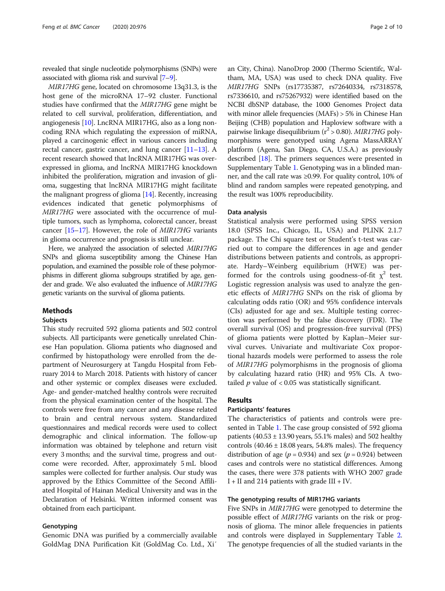revealed that single nucleotide polymorphisms (SNPs) were associated with glioma risk and survival [[7](#page-9-0)–[9\]](#page-9-0).

MIR17HG gene, located on chromosome 13q31.3, is the host gene of the microRNA 17–92 cluster. Functional studies have confirmed that the MIR17HG gene might be related to cell survival, proliferation, differentiation, and angiogenesis [[10](#page-9-0)]. LncRNA MIR17HG, also as a long noncoding RNA which regulating the expression of miRNA, played a carcinogenic effect in various cancers including rectal cancer, gastric cancer, and lung cancer [[11](#page-9-0)–[13\]](#page-9-0). A recent research showed that lncRNA MIR17HG was overexpressed in glioma, and lncRNA MIR17HG knockdown inhibited the proliferation, migration and invasion of glioma, suggesting that lncRNA MIR17HG might facilitate the malignant progress of glioma [[14\]](#page-9-0). Recently, increasing evidences indicated that genetic polymorphisms of MIR17HG were associated with the occurrence of multiple tumors, such as lymphoma, colorectal cancer, breast cancer [[15](#page-9-0)–[17](#page-9-0)]. However, the role of MIR17HG variants in glioma occurrence and prognosis is still unclear.

Here, we analyzed the association of selected MIR17HG SNPs and glioma susceptibility among the Chinese Han population, and examined the possible role of these polymorphisms in different glioma subgroups stratified by age, gender and grade. We also evaluated the influence of MIR17HG genetic variants on the survival of glioma patients.

#### Methods

#### Subjects

This study recruited 592 glioma patients and 502 control subjects. All participants were genetically unrelated Chinese Han population. Glioma patients who diagnosed and confirmed by histopathology were enrolled from the department of Neurosurgery at Tangdu Hospital from February 2014 to March 2018. Patients with history of cancer and other systemic or complex diseases were excluded. Age- and gender-matched healthy controls were recruited from the physical examination center of the hospital. The controls were free from any cancer and any disease related to brain and central nervous system. Standardized questionnaires and medical records were used to collect demographic and clinical information. The follow-up information was obtained by telephone and return visit every 3 months; and the survival time, progress and outcome were recorded. After, approximately 5 mL blood samples were collected for further analysis. Our study was approved by the Ethics Committee of the Second Affiliated Hospital of Hainan Medical University and was in the Declaration of Helsinki. Written informed consent was obtained from each participant.

#### Genotyping

Genomic DNA was purified by a commercially available GoldMag DNA Purification Kit (GoldMag Co. Ltd., Xi′

an City, China). NanoDrop 2000 (Thermo Scientifc, Waltham, MA, USA) was used to check DNA quality. Five MIR17HG SNPs (rs17735387, rs72640334, rs7318578, rs7336610, and rs75267932) were identified based on the NCBI dbSNP database, the 1000 Genomes Project data with minor allele frequencies (MAFs) > 5% in Chinese Han Beijing (CHB) population and Haploview software with a pairwise linkage disequilibrium ( $r^2 > 0.80$ ). MIR17HG polymorphisms were genotyped using Agena MassARRAY platform (Agena, San Diego, CA, U.S.A.) as previously described [\[18\]](#page-9-0). The primers sequences were presented in Supplementary Table [1.](#page-8-0) Genotyping was in a blinded manner, and the call rate was ≥0.99. For quality control, 10% of blind and random samples were repeated genotyping, and the result was 100% reproducibility.

#### Data analysis

Statistical analysis were performed using SPSS version 18.0 (SPSS Inc., Chicago, IL, USA) and PLINK 2.1.7 package. The Chi square test or Student's t-test was carried out to compare the differences in age and gender distributions between patients and controls, as appropriate. Hardy–Weinberg equilibrium (HWE) was performed for the controls using goodness-of-fit  $\chi^2$  test. Logistic regression analysis was used to analyze the genetic effects of MIR17HG SNPs on the risk of glioma by calculating odds ratio (OR) and 95% confidence intervals (CIs) adjusted for age and sex. Multiple testing correction was performed by the false discovery (FDR). The overall survival (OS) and progression-free survival (PFS) of glioma patients were plotted by Kaplan–Meier survival curves. Univariate and multivariate Cox proportional hazards models were performed to assess the role of MIR17HG polymorphisms in the prognosis of glioma by calculating hazard ratio (HR) and 95% CIs. A twotailed  $p$  value of < 0.05 was statistically significant.

#### Results

#### Participants' features

The characteristics of patients and controls were presented in Table [1](#page-2-0). The case group consisted of 592 glioma patients  $(40.53 \pm 13.90 \text{ years}, 55.1\% \text{ males})$  and 502 healthy controls  $(40.46 \pm 18.08 \text{ years}, 54.8\% \text{ males})$ . The frequency distribution of age ( $p = 0.934$ ) and sex ( $p = 0.924$ ) between cases and controls were no statistical differences. Among the cases, there were 378 patients with WHO 2007 grade I + II and 214 patients with grade III + IV.

#### The genotyping results of MIR17HG variants

Five SNPs in MIR17HG were genotyped to determine the possible effect of MIR17HG variants on the risk or prognosis of glioma. The minor allele frequencies in patients and controls were displayed in Supplementary Table [2](#page-8-0). The genotype frequencies of all the studied variants in the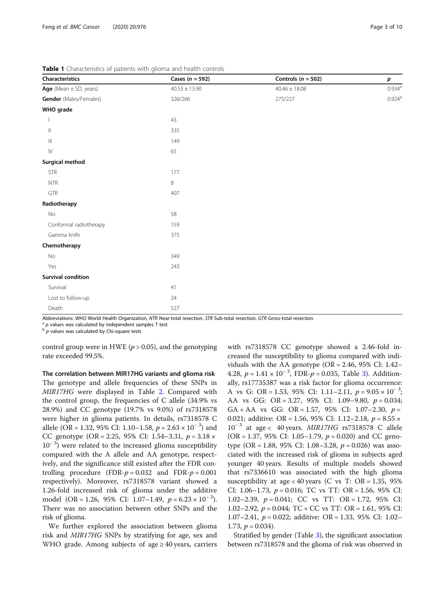| Characteristics                    | Cases $(n = 592)$ | Controls ( $n = 502$ ) | $\boldsymbol{p}$ |  |  |
|------------------------------------|-------------------|------------------------|------------------|--|--|
| Age (Mean $\pm$ SD, years)         | $40.53 \pm 13.90$ | $40.46 \pm 18.08$      | $0.934^{\rm a}$  |  |  |
| Gender (Males/Females)             | 326/266           | 275/227                | $0.924^{b}$      |  |  |
| WHO grade                          |                   |                        |                  |  |  |
|                                    | 43                |                        |                  |  |  |
| $\vert\vert$                       | 335               |                        |                  |  |  |
| $\ensuremath{\mathsf{III}}\xspace$ | 149               |                        |                  |  |  |
| ${\sf IV}$                         | 65                |                        |                  |  |  |
| <b>Surgical method</b>             |                   |                        |                  |  |  |
| <b>STR</b>                         | 177               |                        |                  |  |  |
| <b>NTR</b>                         | 8                 |                        |                  |  |  |
| GTR                                | 407               |                        |                  |  |  |
| Radiotherapy                       |                   |                        |                  |  |  |
| No                                 | 58                |                        |                  |  |  |
| Conformal radiotherapy             | 159               |                        |                  |  |  |
| Gamma knife                        | 375               |                        |                  |  |  |
| Chemotherapy                       |                   |                        |                  |  |  |
| No                                 | 349               |                        |                  |  |  |
| Yes                                | 243               |                        |                  |  |  |
| <b>Survival condition</b>          |                   |                        |                  |  |  |
| Survival                           | 41                |                        |                  |  |  |
| Lost to follow-up                  | 24                |                        |                  |  |  |
| Death                              | 527               |                        |                  |  |  |

<span id="page-2-0"></span>Table 1 Characteristics of patients with glioma and health controls

Abbreviations: WHO World Health Organization, NTR Near-total resection, STR Sub-total resection, GTR Gross-total resection  $a$  p values was calculated by independent samples T test b p values was calculated by Chi-square

control group were in HWE ( $p > 0.05$ ), and the genotyping rate exceeded 99.5%.

The correlation between MIR17HG variants and glioma risk The genotype and allele frequencies of these SNPs in MIR17HG were displayed in Table [2](#page-3-0). Compared with the control group, the frequencies of C allele (34.9% vs 28.9%) and CC genotype (19.7% vs 9.0%) of rs7318578 were higher in glioma patients. In details, rs7318578 C allele (OR = 1.32, 95% CI: 1.10–1.58,  $p = 2.63 \times 10^{-3}$ ) and CC genotype (OR = 2.25, 95% CI: 1.54–3.31,  $p = 3.18 \times$ 10<sup>-5</sup>) were related to the increased glioma susceptibility compared with the A allele and AA genotype, respectively, and the significance still existed after the FDR controlling procedure  $(FDR-p = 0.032$  and  $FDR-p = 0.001$ respectively). Moreover, rs7318578 variant showed a 1.26-fold increased risk of glioma under the additive model (OR = 1.26, 95% CI: 1.07–1.49,  $p = 6.23 \times 10^{-3}$ ). There was no association between other SNPs and the risk of glioma.

We further explored the association between glioma risk and MIR17HG SNPs by stratifying for age, sex and WHO grade. Among subjects of age  $\geq$  40 years, carriers with rs7318578 CC genotype showed a 2.46-fold increased the susceptibility to glioma compared with individuals with the AA genotype ( $OR = 2.46$ , 95% CI: 1.42– 4.28,  $p = 1.41 \times 10^{-3}$ , FDR- $p = 0.035$ , Table [3\)](#page-4-0). Additionally, rs17735387 was a risk factor for glioma occurrence: A vs G: OR = 1.53, 95% CI: 1.11–2.11,  $p = 9.05 \times 10^{-3}$ ; AA vs GG: OR = 3.27, 95% CI: 1.09–9.80,  $p = 0.034$ ; GA + AA vs GG: OR = 1.57, 95% CI: 1.07–2.30,  $p =$ 0.021; additive: OR = 1.56, 95% CI: 1.12–2.18,  $p = 8.55 \times$  $10^{-3}$  at age < 40 years. MIR17HG rs7318578 C allele  $(OR = 1.37, 95\% \text{ CI: } 1.05 - 1.79, p = 0.020)$  and CC genotype (OR = 1.88, 95% CI: 1.08–3.28,  $p = 0.026$ ) was associated with the increased risk of glioma in subjects aged younger 40 years. Results of multiple models showed that rs7336610 was associated with the high glioma susceptibility at age < 40 years (C vs T: OR = 1.35, 95%) CI: 1.06–1.73,  $p = 0.016$ ; TC vs TT: OR = 1.56, 95% CI: 1.02–2.39,  $p = 0.041$ ; CC vs TT: OR = 1.72, 95% CI: 1.02–2.92,  $p = 0.044$ ; TC + CC vs TT: OR = 1.61, 95% CI: 1.07–2.41,  $p = 0.022$ ; additive: OR = 1.33, 95% CI: 1.02– 1.73,  $p = 0.034$ ).

Stratified by gender (Table [3\)](#page-4-0), the significant association between rs7318578 and the glioma of risk was observed in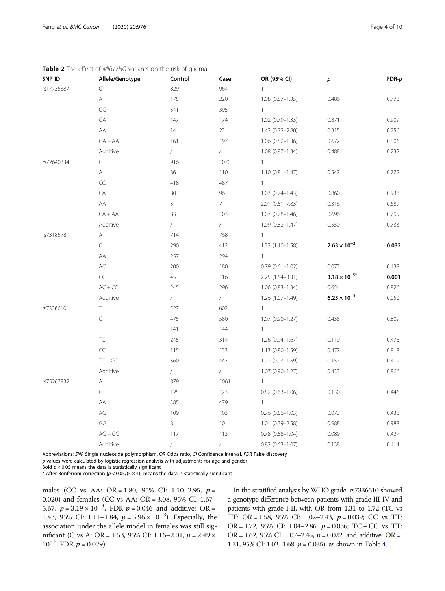| SNP ID     | Allele/Genotype                                                                                        | Control    | Case            | OR (95% CI)            | p                      | $FDR-p$ |
|------------|--------------------------------------------------------------------------------------------------------|------------|-----------------|------------------------|------------------------|---------|
| rs17735387 | G                                                                                                      | 829        | 964             | $\overline{1}$         |                        |         |
|            | $\mathsf{A}% _{\mathsf{A}}^{\prime}=\mathsf{A}_{\mathsf{A}}^{\prime}=\mathsf{A}_{\mathsf{A}}^{\prime}$ | 175        | 220             | $1.08(0.87 - 1.35)$    | 0.486                  | 0.778   |
|            | GG                                                                                                     | 341        | 395             | $\mathbf{1}$           |                        |         |
|            | GA                                                                                                     | 147        | 174             | $1.02(0.79 - 1.33)$    | 0.871                  | 0.909   |
|            | AA                                                                                                     | 14         | 23              | $1.42(0.72 - 2.80)$    | 0.315                  | 0.756   |
|            | $GA + AA$                                                                                              | 161        | 197             | $1.06(0.82 - 1.36)$    | 0.672                  | 0.806   |
|            | Additive                                                                                               | $\sqrt{2}$ | $\sqrt{2}$      | $1.08(0.87 - 1.34)$    | 0.488                  | 0.732   |
| rs72640334 | C                                                                                                      | 916        | 1070            | $\mathbf{1}$           |                        |         |
|            | Α                                                                                                      | 86         | 110             | $1.10(0.81 - 1.47)$    | 0.547                  | 0.772   |
|            | CC                                                                                                     | 418        | 487             | $\mathbf{1}$           |                        |         |
|            | CA                                                                                                     | 80         | 96              | $1.03(0.74 - 1.43)$    | 0.860                  | 0.938   |
|            | AA                                                                                                     | 3          | $7\overline{ }$ | $2.01(0.51 - 7.83)$    | 0.316                  | 0.689   |
|            | $CA + AA$                                                                                              | 83         | 103             | $1.07(0.78 - 1.46)$    | 0.696                  | 0.795   |
|            | Additive                                                                                               | $\sqrt{2}$ | $\sqrt{2}$      | $1.09(0.82 - 1.47)$    | 0.550                  | 0.733   |
| rs7318578  | A                                                                                                      | 714        | 768             | $\mathbf{1}$           |                        |         |
|            | C                                                                                                      | 290        | 412             | $1.32(1.10-1.58)$      | $2.63 \times 10^{-3}$  | 0.032   |
|            | AA                                                                                                     | 257        | 294             | $\mathbf{1}$           |                        |         |
|            | AC                                                                                                     | 200        | 180             | $0.79(0.61 - 1.02)$    | 0.073                  | 0.438   |
|            | CC                                                                                                     | 45         | 116             | $2.25(1.54 - 3.31)$    | $3.18 \times 10^{-5*}$ | 0.001   |
|            | $AC + CC$                                                                                              | 245        | 296             | $1.06(0.83 - 1.34)$    | 0.654                  | 0.826   |
|            | Additive                                                                                               | $\sqrt{2}$ | $\sqrt{2}$      | $1.26(1.07 - 1.49)$    | $6.23 \times 10^{-3}$  | 0.050   |
| rs7336610  | $\top$                                                                                                 | 527        | 602             | $\mathbf{1}$           |                        |         |
|            | C                                                                                                      | 475        | 580             | 1.07 (0.90-1.27)       | 0.438                  | 0.809   |
|            | $\top\hspace{-0.6em}\top$                                                                              | 141        | 144             | $\mathbf{1}$           |                        |         |
|            | TC                                                                                                     | 245        | 314             | $1.26(0.94 - 1.67)$    | 0.119                  | 0.476   |
|            | CC                                                                                                     | 115        | 133             | $1.13(0.80 - 1.59)$    | 0.477                  | 0.818   |
|            | $TC + CC$                                                                                              | 360        | 447             | $1.22(0.93 - 1.59)$    | 0.157                  | 0.419   |
|            | Additive                                                                                               | $\sqrt{2}$ | $\sqrt{2}$      | $1.07(0.90 - 1.27)$    | 0.433                  | 0.866   |
| rs75267932 | Α                                                                                                      | 879        | 1061            | $\mathbf{1}$           |                        |         |
|            | G                                                                                                      | 125        | 123             | $0.82$ (0.63-1.06)     | 0.130                  | 0.446   |
|            | AA                                                                                                     | 385        | 479             | $\mathbf{1}$           |                        |         |
|            | AG                                                                                                     | 109        | 103             | $0.76$ $(0.56 - 1.03)$ | 0.073                  | 0.438   |
|            | GG                                                                                                     | 8          | 10 <sup>°</sup> | $1.01(0.39 - 2.58)$    | 0.988                  | 0.988   |
|            | $AG + GG$                                                                                              | 117        | 113             | $0.78$ $(0.58 - 1.04)$ | 0.089                  | 0.427   |
|            | Additive                                                                                               | $\sqrt{2}$ | $\sqrt{2}$      | $0.82$ (0.63-1.07)     | 0.138                  | 0.414   |

<span id="page-3-0"></span>Table 2 The effect of MIR17HG variants on the risk of glioma

Abbreviations: SNP Single nucleotide polymorphism, OR Odds ratio, CI Confidence interval, FDR False discovery

p values were calculated by logistic regression analysis with adjustments for age and gender

Bold  $p < 0.05$  means the data is statistically significant

\* After Bonferroni correction  $[p < 0.05/(5 \times 4)]$  means the data is statistically significant

males (CC vs AA: OR = 1.80, 95% CI: 1.10–2.95,  $p =$ 0.020) and females (CC vs AA: OR = 3.08, 95% CI: 1.67– 5.67,  $p = 3.19 \times 10^{-4}$ , FDR- $p = 0.046$  and additive: OR = 1.43, 95% CI: 1.11–1.84,  $p = 5.96 \times 10^{-3}$ ). Especially, the association under the allele model in females was still significant (C vs A: OR = 1.53, 95% CI: 1.16–2.01,  $p$  = 2.49  $\times$  $10^{-3}$ , FDR- $p = 0.029$ ).

In the stratified analysis by WHO grade, rs7336610 showed a genotype difference between patients with grade III-IV and patients with grade I-II, with OR from 1.31 to 1.72 (TC vs TT: OR = 1.58, 95% CI: 1.02-2.43,  $p = 0.039$ ; CC vs TT: OR = 1.72, 95% CI: 1.04–2.86,  $p = 0.036$ ; TC + CC vs TT: OR = 1.62, 95% CI: 1.07–2.45,  $p = 0.022$ ; and additive: OR = 1.31, 95% CI: 1.02–1.68,  $p = 0.035$ ), as shown in Table [4.](#page-4-0)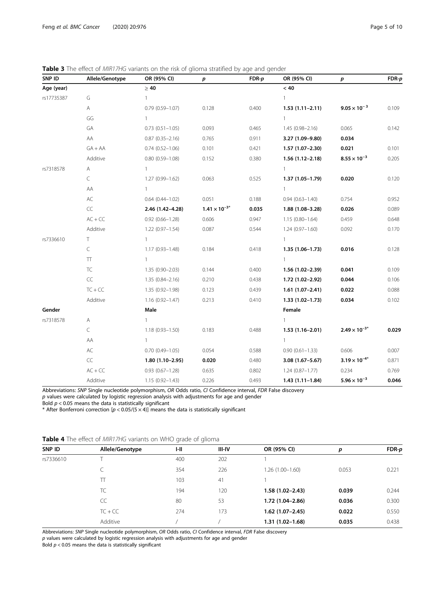| SNP ID     | Allele/Genotype   | OR (95% CI)         | р                      | $FDR-p$ | OR (95% CI)         | p                      | $FDR-p$ |
|------------|-------------------|---------------------|------------------------|---------|---------------------|------------------------|---------|
| Age (year) |                   | $\geq 40$           |                        |         | < 40                |                        |         |
| rs17735387 | G                 | 1                   |                        |         | $\mathbf{1}$        |                        |         |
|            | Α                 | $0.79(0.59 - 1.07)$ | 0.128                  | 0.400   | $1.53(1.11 - 2.11)$ | $9.05 \times 10^{-3}$  | 0.109   |
|            | GG                | $\mathbf{1}$        |                        |         | $\mathbf{1}$        |                        |         |
|            | GA                | $0.73(0.51 - 1.05)$ | 0.093                  | 0.465   | $1.45(0.98 - 2.16)$ | 0.065                  | 0.142   |
|            | AA                | $0.87(0.35 - 2.16)$ | 0.765                  | 0.911   | 3.27 (1.09-9.80)    | 0.034                  |         |
|            | $GA + AA$         | $0.74(0.52 - 1.06)$ | 0.101                  | 0.421   | $1.57(1.07-2.30)$   | 0.021                  | 0.101   |
|            | Additive          | $0.80(0.59 - 1.08)$ | 0.152                  | 0.380   | $1.56(1.12 - 2.18)$ | $8.55 \times 10^{-3}$  | 0.205   |
| rs7318578  | Α                 | 1                   |                        |         | $\mathbf{1}$        |                        |         |
|            | C                 | $1.27(0.99 - 1.62)$ | 0.063                  | 0.525   | $1.37(1.05 - 1.79)$ | 0.020                  | 0.120   |
|            | AA                | $\mathbf{1}$        |                        |         | $\mathbf{1}$        |                        |         |
|            | AC                | $0.64(0.44 - 1.02)$ | 0.051                  | 0.188   | $0.94(0.63 - 1.40)$ | 0.754                  | 0.952   |
|            | CC                | 2.46 (1.42-4.28)    | $1.41 \times 10^{-3*}$ | 0.035   | $1.88(1.08 - 3.28)$ | 0.026                  | 0.089   |
|            | $AC + CC$         | $0.92(0.66 - 1.28)$ | 0.606                  | 0.947   | $1.15(0.80 - 1.64)$ | 0.459                  | 0.648   |
|            | Additive          | $1.22(0.97 - 1.54)$ | 0.087                  | 0.544   | $1.24(0.97 - 1.60)$ | 0.092                  | 0.170   |
| rs7336610  | T.                | $\mathbf{1}$        |                        |         | $\mathbf{1}$        |                        |         |
|            | $\subset$         | $1.17(0.93 - 1.48)$ | 0.184                  | 0.418   | $1.35(1.06 - 1.73)$ | 0.016                  | 0.128   |
|            | $\top\top$        | $\mathbf{1}$        |                        |         | $\mathbf{1}$        |                        |         |
|            | TC                | $1.35(0.90 - 2.03)$ | 0.144                  | 0.400   | $1.56(1.02 - 2.39)$ | 0.041                  | 0.109   |
|            | $\subset \subset$ | $1.35(0.84 - 2.16)$ | 0.210                  | 0.438   | 1.72 (1.02-2.92)    | 0.044                  | 0.106   |
|            | $TC + CC$         | $1.35(0.92 - 1.98)$ | 0.123                  | 0.439   | $1.61(1.07 - 2.41)$ | 0.022                  | 0.088   |
|            | Additive          | $1.16(0.92 - 1.47)$ | 0.213                  | 0.410   | $1.33(1.02 - 1.73)$ | 0.034                  | 0.102   |
| Gender     |                   | Male                |                        |         | Female              |                        |         |
| rs7318578  | Α                 | 1                   |                        |         | $\mathbf{1}$        |                        |         |
|            | $\subset$         | $1.18(0.93 - 1.50)$ | 0.183                  | 0.488   | $1.53(1.16-2.01)$   | $2.49 \times 10^{-3*}$ | 0.029   |
|            | AA                | $\mathbf{1}$        |                        |         | $\mathbf{1}$        |                        |         |
|            | AC                | $0.70(0.49 - 1.05)$ | 0.054                  | 0.588   | $0.90(0.61 - 1.33)$ | 0.606                  | 0.007   |
|            | CC                | $1.80(1.10-2.95)$   | 0.020                  | 0.480   | 3.08 (1.67-5.67)    | $3.19 \times 10^{-4*}$ | 0.871   |
|            | $AC + CC$         | $0.93(0.67 - 1.28)$ | 0.635                  | 0.802   | $1.24(0.87 - 1.77)$ | 0.234                  | 0.769   |
|            | Additive          | $1.15(0.92 - 1.43)$ | 0.226                  | 0.493   | $1.43(1.11-1.84)$   | $5.96 \times 10^{-3}$  | 0.046   |

<span id="page-4-0"></span>Table 3 The effect of MIR17HG variants on the risk of glioma stratified by age and gender

Abbreviations: SNP Single nucleotide polymorphism, OR Odds ratio, CI Confidence interval, FDR False discovery  $p$  values were calculated by logistic regression analysis with adjustments for age and gender Bold  $p < 0.05$  means the data is statistically significant

\* After Bonferroni correction  $[p < 0.05/(5 \times 4)]$  means the data is statistically significant

|  |  |  |  |  | Table 4 The effect of MIR17HG variants on WHO grade of glioma |  |  |  |  |  |  |
|--|--|--|--|--|---------------------------------------------------------------|--|--|--|--|--|--|
|--|--|--|--|--|---------------------------------------------------------------|--|--|--|--|--|--|

|           |                 | $\tilde{}$ |               |                     |       |         |
|-----------|-----------------|------------|---------------|---------------------|-------|---------|
| SNP ID    | Allele/Genotype | I-II       | <b>III-IV</b> | OR (95% CI)         | р     | $FDR-p$ |
| rs7336610 |                 | 400        | 202           |                     |       |         |
|           | ◡               | 354        | 226           | $1.26(1.00-1.60)$   | 0.053 | 0.221   |
|           | Π               | 103        | 41            |                     |       |         |
|           | TC              | 194        | 120           | $1.58(1.02 - 2.43)$ | 0.039 | 0.244   |
|           | CC              | 80         | 53            | 1.72 (1.04-2.86)    | 0.036 | 0.300   |
|           | $TC + CC$       | 274        | 173           | $1.62(1.07-2.45)$   | 0.022 | 0.550   |
|           | Additive        |            |               | $1.31(1.02 - 1.68)$ | 0.035 | 0.438   |
|           |                 |            |               |                     |       |         |

Abbreviations: SNP Single nucleotide polymorphism, OR Odds ratio, CI Confidence interval, FDR False discovery

p values were calculated by logistic regression analysis with adjustments for age and gender

Bold  $p < 0.05$  means the data is statistically significant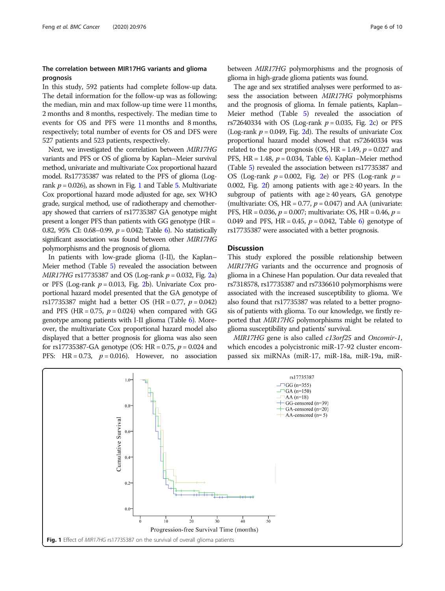### The correlation between MIR17HG variants and glioma prognosis

In this study, 592 patients had complete follow-up data. The detail information for the follow-up was as following: the median, min and max follow-up time were 11 months, 2 months and 8 months, respectively. The median time to events for OS and PFS were 11 months and 8 months, respectively; total number of events for OS and DFS were 527 patients and 523 patients, respectively.

Next, we investigated the correlation between MIR17HG variants and PFS or OS of glioma by Kaplan–Meier survival method, univariate and multivariate Cox proportional hazard model. Rs17735387 was related to the PFS of glioma (Logrank  $p = 0.026$ ), as shown in Fig. 1 and Table [5.](#page-6-0) Multivariate Cox proportional hazard mode adjusted for age, sex WHO grade, surgical method, use of radiotherapy and chemotherapy showed that carriers of rs17735387 GA genotype might present a longer PFS than patients with GG genotype (HR = 0.82, 95% CI: 0.68–0.99,  $p = 0.042$ ; Table [6\)](#page-7-0). No statistically significant association was found between other MIR17HG polymorphisms and the prognosis of glioma.

In patients with low-grade glioma (I-II), the Kaplan– Meier method (Table [5\)](#page-6-0) revealed the association between  $MIR17HG$  rs17735387 and OS (Log-rank  $p = 0.032$  $p = 0.032$ , Fig. 2a) or PFS (Log-rank  $p = 0.013$ , Fig. [2](#page-8-0)b). Univariate Cox proportional hazard model presented that the GA genotype of rs17735387 might had a better OS (HR = 0.77,  $p = 0.042$ ) and PFS (HR =  $0.75$ ,  $p = 0.024$ ) when compared with GG genotype among patients with I-II glioma (Table [6](#page-7-0)). Moreover, the multivariate Cox proportional hazard model also displayed that a better prognosis for glioma was also seen for rs17735387-GA genotype (OS: HR = 0.75,  $p = 0.024$  and PFS: HR = 0.73,  $p = 0.016$ ). However, no association between MIR17HG polymorphisms and the prognosis of glioma in high-grade glioma patients was found.

The age and sex stratified analyses were performed to assess the association between *MIR17HG* polymorphisms and the prognosis of glioma. In female patients, Kaplan– Meier method (Table [5\)](#page-6-0) revealed the association of rs7[2](#page-8-0)640334 with OS (Log-rank  $p = 0.035$ , Fig. 2c) or PFS (Log-rank  $p = 0.049$ , Fig. [2d](#page-8-0)). The results of univariate Cox proportional hazard model showed that rs72640334 was related to the poor prognosis (OS, HR = 1.49,  $p = 0.027$  and PFS, HR = 1.48,  $p = 0.034$ , Table [6](#page-7-0)). Kaplan–Meier method (Table [5\)](#page-6-0) revealed the association between rs17735387 and OS (Log-rank  $p = 0.002$  $p = 0.002$ , Fig. 2e) or PFS (Log-rank  $p =$ 0.00[2](#page-8-0), Fig. 2f) among patients with age  $\geq$  40 years. In the subgroup of patients with age  $\geq$  40 years, GA genotype (multivariate: OS, HR = 0.77,  $p = 0.047$ ) and AA (univariate: PFS, HR =  $0.036$ ,  $p = 0.007$ ; multivariate: OS, HR =  $0.46$ ,  $p =$ 0.049 and PFS, HR = 0.45,  $p = 0.042$ , Table [6\)](#page-7-0) genotype of rs17735387 were associated with a better prognosis.

#### **Discussion**

This study explored the possible relationship between MIR17HG variants and the occurrence and prognosis of glioma in a Chinese Han population. Our data revealed that rs7318578, rs17735387 and rs7336610 polymorphisms were associated with the increased susceptibility to glioma. We also found that rs17735387 was related to a better prognosis of patients with glioma. To our knowledge, we firstly reported that MIR17HG polymorphisms might be related to glioma susceptibility and patients' survival.

MIR17HG gene is also called c13orf25 and Oncomir-1, which encodes a polycistronic miR-17-92 cluster encompassed six miRNAs (miR-17, miR-18a, miR-19a, miR-

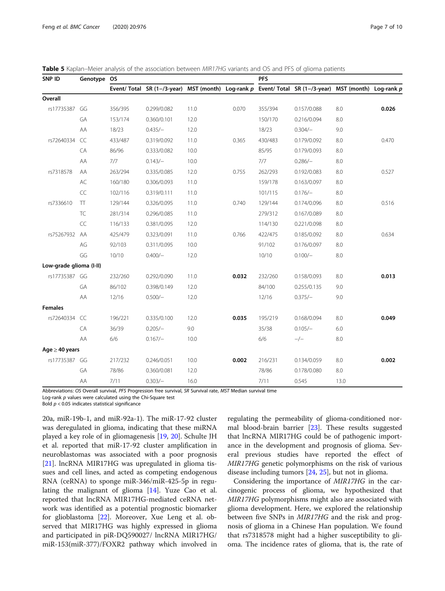| SNP ID                  | Genotype OS |         |                                                                                                       |      | <b>PFS</b> |         |             |      |       |  |  |
|-------------------------|-------------|---------|-------------------------------------------------------------------------------------------------------|------|------------|---------|-------------|------|-------|--|--|
|                         |             |         | Event/ Total SR (1-/3-year) MST (month) Log-rank p Event/ Total SR (1-/3-year) MST (month) Log-rank p |      |            |         |             |      |       |  |  |
| Overall                 |             |         |                                                                                                       |      |            |         |             |      |       |  |  |
| rs17735387 GG           |             | 356/395 | 0.299/0.082                                                                                           | 11.0 | 0.070      | 355/394 | 0.157/0.088 | 8.0  | 0.026 |  |  |
|                         | GA          | 153/174 | 0.360/0.101                                                                                           | 12.0 |            | 150/170 | 0.216/0.094 | 8.0  |       |  |  |
|                         | AA          | 18/23   | $0.435/-$                                                                                             | 12.0 |            | 18/23   | $0.304/-$   | 9.0  |       |  |  |
| rs72640334              | CC          | 433/487 | 0.319/0.092                                                                                           | 11.0 | 0.365      | 430/483 | 0.179/0.092 | 8.0  | 0.470 |  |  |
|                         | CA          | 86/96   | 0.333/0.082                                                                                           | 10.0 |            | 85/95   | 0.179/0.093 | 8.0  |       |  |  |
|                         | AA          | 7/7     | $0.143/-$                                                                                             | 10.0 |            | 7/7     | $0.286/-$   | 8.0  |       |  |  |
| rs7318578               | AA          | 263/294 | 0.335/0.085                                                                                           | 12.0 | 0.755      | 262/293 | 0.192/0.083 | 8.0  | 0.527 |  |  |
|                         | AC          | 160/180 | 0.306/0.093                                                                                           | 11.0 |            | 159/178 | 0.163/0.097 | 8.0  |       |  |  |
|                         | CC          | 102/116 | 0.319/0.111                                                                                           | 11.0 |            | 101/115 | $0.176/-$   | 8.0  |       |  |  |
| rs7336610               | $\top\top$  | 129/144 | 0.326/0.095                                                                                           | 11.0 | 0.740      | 129/144 | 0.174/0.096 | 8.0  | 0.516 |  |  |
|                         | <b>TC</b>   | 281/314 | 0.296/0.085                                                                                           | 11.0 |            | 279/312 | 0.167/0.089 | 8.0  |       |  |  |
|                         | CC          | 116/133 | 0.381/0.095                                                                                           | 12.0 |            | 114/130 | 0.221/0.098 | 8.0  |       |  |  |
| rs75267932              | AA          | 425/479 | 0.323/0.091                                                                                           | 11.0 | 0.766      | 422/475 | 0.185/0.092 | 8.0  | 0.634 |  |  |
|                         | AG          | 92/103  | 0.311/0.095                                                                                           | 10.0 |            | 91/102  | 0.176/0.097 | 8.0  |       |  |  |
|                         | GG          | 10/10   | $0.400/-$                                                                                             | 12.0 |            | 10/10   | $0.100/-$   | 8.0  |       |  |  |
| Low-grade glioma (I-II) |             |         |                                                                                                       |      |            |         |             |      |       |  |  |
| rs17735387 GG           |             | 232/260 | 0.292/0.090                                                                                           | 11.0 | 0.032      | 232/260 | 0.158/0.093 | 8.0  | 0.013 |  |  |
|                         | GA          | 86/102  | 0.398/0.149                                                                                           | 12.0 |            | 84/100  | 0.255/0.135 | 9.0  |       |  |  |
|                         | AA          | 12/16   | $0.500/-$                                                                                             | 12.0 |            | 12/16   | $0.375/-$   | 9.0  |       |  |  |
| <b>Females</b>          |             |         |                                                                                                       |      |            |         |             |      |       |  |  |
| rs72640334 CC           |             | 196/221 | 0.335/0.100                                                                                           | 12.0 | 0.035      | 195/219 | 0.168/0.094 | 8.0  | 0.049 |  |  |
|                         | CA          | 36/39   | $0.205/-$                                                                                             | 9.0  |            | 35/38   | $0.105/-$   | 6.0  |       |  |  |
|                         | AA          | 6/6     | $0.167/-$                                                                                             | 10.0 |            | 6/6     | $-/-$       | 8.0  |       |  |  |
| Age $\geq$ 40 years     |             |         |                                                                                                       |      |            |         |             |      |       |  |  |
| rs17735387 GG           |             | 217/232 | 0.246/0.051                                                                                           | 10.0 | 0.002      | 216/231 | 0.134/0.059 | 8.0  | 0.002 |  |  |
|                         | GA          | 78/86   | 0.360/0.081                                                                                           | 12.0 |            | 78/86   | 0.178/0.080 | 8.0  |       |  |  |
|                         | AA          | 7/11    | $0.303/-$                                                                                             | 16.0 |            | 7/11    | 0.545       | 13.0 |       |  |  |

<span id="page-6-0"></span>Table 5 Kaplan–Meier analysis of the association between MIR17HG variants and OS and PFS of glioma patients

Abbreviations: OS Overall survival, PFS Progression free survival, SR Survival rate, MST Median survival time

Log-rank  $p$  values were calculated using the Chi-Square test

Bold  $p < 0.05$  indicates statistical significance

20a, miR-19b-1, and miR-92a-1). The miR-17-92 cluster was deregulated in glioma, indicating that these miRNA played a key role of in gliomagenesis [[19](#page-9-0), [20](#page-9-0)]. Schulte JH et al. reported that miR-17-92 cluster amplification in neuroblastomas was associated with a poor prognosis [[21\]](#page-9-0). lncRNA MIR17HG was upregulated in glioma tissues and cell lines, and acted as competing endogenous RNA (ceRNA) to sponge miR-346/miR-425-5p in regulating the malignant of glioma  $[14]$  $[14]$ . Yuze Cao et al. reported that lncRNA MIR17HG-mediated ceRNA network was identified as a potential prognostic biomarker for glioblastoma [[22\]](#page-9-0). Moreover, Xue Leng et al. observed that MIR17HG was highly expressed in glioma and participated in piR-DQ590027/ lncRNA MIR17HG/ miR-153(miR-377)/FOXR2 pathway which involved in

regulating the permeability of glioma-conditioned normal blood-brain barrier [[23](#page-9-0)]. These results suggested that lncRNA MIR17HG could be of pathogenic importance in the development and prognosis of glioma. Several previous studies have reported the effect of MIR17HG genetic polymorphisms on the risk of various disease including tumors [[24](#page-9-0), [25](#page-9-0)], but not in glioma.

Considering the importance of MIR17HG in the carcinogenic process of glioma, we hypothesized that MIR17HG polymorphisms might also are associated with glioma development. Here, we explored the relationship between five SNPs in MIR17HG and the risk and prognosis of glioma in a Chinese Han population. We found that rs7318578 might had a higher susceptibility to glioma. The incidence rates of glioma, that is, the rate of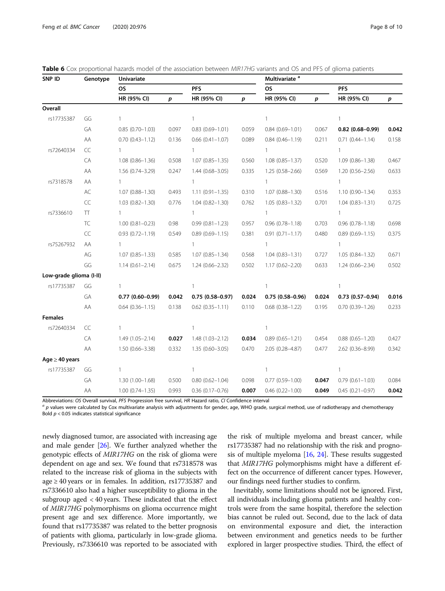| SNP ID                  | Genotype      | Univariate          |       |                        | Multivariate <sup>a</sup> |                        |                  |                     |       |  |
|-------------------------|---------------|---------------------|-------|------------------------|---------------------------|------------------------|------------------|---------------------|-------|--|
|                         |               | OS                  |       | <b>PFS</b>             |                           | <b>OS</b>              |                  | <b>PFS</b>          |       |  |
|                         |               | HR (95% CI)         | p     | HR (95% CI)            | $\boldsymbol{p}$          | HR (95% CI)            | $\boldsymbol{p}$ | HR (95% CI)         | p     |  |
| Overall                 |               |                     |       |                        |                           |                        |                  |                     |       |  |
| rs17735387              | GG            | $\mathbf{1}$        |       | $\mathbf{1}$           |                           | $\mathbf{1}$           |                  | $\mathbf{1}$        |       |  |
|                         | GA            | $0.85(0.70 - 1.03)$ | 0.097 | $0.83(0.69 - 1.01)$    | 0.059                     | $0.84(0.69 - 1.01)$    | 0.067            | $0.82$ (0.68-0.99)  | 0.042 |  |
|                         | AA            | $0.70(0.43 - 1.12)$ | 0.136 | $0.66$ $(0.41 - 1.07)$ | 0.089                     | $0.84(0.46 - 1.19)$    | 0.211            | $0.71(0.44 - 1.14)$ | 0.158 |  |
| rs72640334              | CC            | $\mathbf{1}$        |       | $\overline{1}$         |                           | $\mathbf{1}$           |                  | $\mathbf{1}$        |       |  |
|                         | CA            | $1.08(0.86 - 1.36)$ | 0.508 | $1.07(0.85 - 1.35)$    | 0.560                     | $1.08(0.85 - 1.37)$    | 0.520            | $1.09(0.86 - 1.38)$ | 0.467 |  |
|                         | AA            | $1.56(0.74 - 3.29)$ | 0.247 | $1.44(0.68 - 3.05)$    | 0.335                     | $1.25(0.58 - 2.66)$    | 0.569            | $1.20(0.56 - 2.56)$ | 0.633 |  |
| rs7318578               | AA            | $\mathbf{1}$        |       | 1                      |                           | $\mathbf{1}$           |                  | 1                   |       |  |
|                         | $\mathsf{AC}$ | $1.07(0.88 - 1.30)$ | 0.493 | $1.11(0.91 - 1.35)$    | 0.310                     | $1.07(0.88 - 1.30)$    | 0.516            | $1.10(0.90 - 1.34)$ | 0.353 |  |
|                         | CC            | $1.03(0.82 - 1.30)$ | 0.776 | $1.04(0.82 - 1.30)$    | 0.762                     | $1.05(0.83 - 1.32)$    | 0.701            | $1.04(0.83 - 1.31)$ | 0.725 |  |
| rs7336610               | <b>TT</b>     | $\mathbf{1}$        |       | $\mathbf{1}$           |                           | $\mathbf{1}$           |                  | $\mathbf{1}$        |       |  |
|                         | <b>TC</b>     | $1.00(0.81 - 0.23)$ | 0.98  | $0.99(0.81 - 1.23)$    | 0.957                     | $0.96(0.78 - 1.18)$    | 0.703            | $0.96(0.78 - 1.18)$ | 0.698 |  |
|                         | CC            | $0.93(0.72 - 1.19)$ | 0.549 | $0.89(0.69 - 1.15)$    | 0.381                     | $0.91(0.71 - 1.17)$    | 0.480            | $0.89(0.69 - 1.15)$ | 0.375 |  |
| rs75267932              | AA            | $\mathbf{1}$        |       | $\mathbf{1}$           |                           | $\mathbf{1}$           |                  | $\mathbf{1}$        |       |  |
|                         | $AG$          | $1.07(0.85 - 1.33)$ | 0.585 | $1.07(0.85 - 1.34)$    | 0.568                     | $1.04(0.83 - 1.31)$    | 0.727            | $1.05(0.84 - 1.32)$ | 0.671 |  |
|                         | GG            | $1.14(0.61 - 2.14)$ | 0.675 | $1.24(0.66 - 2.32)$    | 0.502                     | $1.17(0.62 - 2.20)$    | 0.633            | $1.24(0.66 - 2.34)$ | 0.502 |  |
| Low-grade glioma (I-II) |               |                     |       |                        |                           |                        |                  |                     |       |  |
| rs17735387              | GG            | 1                   |       | 1                      |                           | 1                      |                  | 1                   |       |  |
|                         | GA            | $0.77(0.60 - 0.99)$ | 0.042 | $0.75(0.58 - 0.97)$    | 0.024                     | $0.75(0.58 - 0.96)$    | 0.024            | $0.73(0.57-0.94)$   | 0.016 |  |
|                         | ΑA            | $0.64(0.36 - 1.15)$ | 0.138 | $0.62$ $(0.35 - 1.11)$ | 0.110                     | $0.68$ $(0.38 - 1.22)$ | 0.195            | $0.70(0.39 - 1.26)$ | 0.233 |  |
| <b>Females</b>          |               |                     |       |                        |                           |                        |                  |                     |       |  |
| rs72640334              | CC            | 1                   |       | 1                      |                           | 1                      |                  |                     |       |  |
|                         | CA            | $1.49(1.05 - 2.14)$ | 0.027 | $1.48(1.03 - 2.12)$    | 0.034                     | $0.89(0.65 - 1.21)$    | 0.454            | $0.88(0.65 - 1.20)$ | 0.427 |  |
|                         | AA            | $1.50(0.66 - 3.38)$ | 0.332 | $1.35(0.60 - 3.05)$    | 0.470                     | 2.05 (0.28-4.87)       | 0.477            | 2.62 (0.36-8.99)    | 0.342 |  |
| Age $\geq$ 40 years     |               |                     |       |                        |                           |                        |                  |                     |       |  |
| rs17735387              | GG            | 1                   |       | $\mathbf{1}$           |                           | 1                      |                  | $\mathbf{1}$        |       |  |
|                         | GA            | $1.30(1.00 - 1.68)$ | 0.500 | $0.80(0.62 - 1.04)$    | 0.098                     | $0.77(0.59 - 1.00)$    | 0.047            | $0.79(0.61 - 1.03)$ | 0.084 |  |
|                         | AA            | $1.00(0.74 - 1.35)$ | 0.993 | $0.36(0.17 - 0.76)$    | 0.007                     | $0.46$ $(0.22 - 1.00)$ | 0.049            | $0.45(0.21 - 0.97)$ | 0.042 |  |

<span id="page-7-0"></span>

|  | <b>Table 6</b> Cox proportional hazards model of the association between <i>MIR17HG</i> variants and OS and PFS of glioma patients |  |  |  |  |  |  |  |
|--|------------------------------------------------------------------------------------------------------------------------------------|--|--|--|--|--|--|--|
|  |                                                                                                                                    |  |  |  |  |  |  |  |

Abbreviations: OS Overall survival, PFS Progression free survival, HR Hazard ratio, Cl Confidence interval<br><sup>a</sup> p values were calculated by Cox multivariate analysis with adjustments for gender, age, WHO grade, surgical met Bold  $p < 0.05$  indicates statistical significance

newly diagnosed tumor, are associated with increasing age and male gender [\[26](#page-9-0)]. We further analyzed whether the genotypic effects of MIR17HG on the risk of glioma were dependent on age and sex. We found that rs7318578 was related to the increase risk of glioma in the subjects with age  $\geq$  40 years or in females. In addition, rs17735387 and rs7336610 also had a higher susceptibility to glioma in the subgroup aged < 40 years. These indicated that the effect of MIR17HG polymorphisms on glioma occurrence might present age and sex difference. More importantly, we found that rs17735387 was related to the better prognosis of patients with glioma, particularly in low-grade glioma. Previously, rs7336610 was reported to be associated with the risk of multiple myeloma and breast cancer, while rs17735387 had no relationship with the risk and prognosis of multiple myeloma  $[16, 24]$  $[16, 24]$  $[16, 24]$  $[16, 24]$ . These results suggested that MIR17HG polymorphisms might have a different effect on the occurrence of different cancer types. However, our findings need further studies to confirm.

Inevitably, some limitations should not be ignored. First, all individuals including glioma patients and healthy controls were from the same hospital, therefore the selection bias cannot be ruled out. Second, due to the lack of data on environmental exposure and diet, the interaction between environment and genetics needs to be further explored in larger prospective studies. Third, the effect of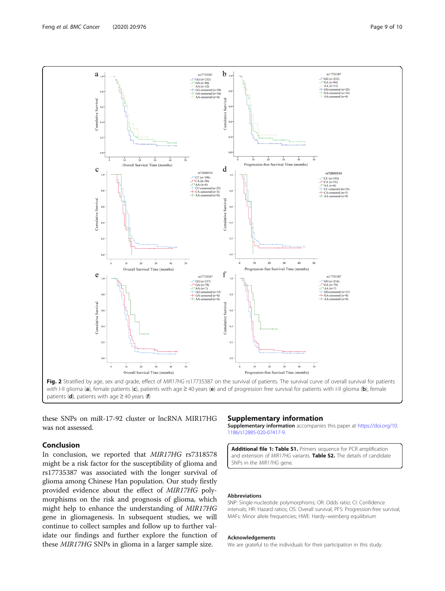<span id="page-8-0"></span>

Fig. 2 Stratified by age, sex and grade, effect of MIR17HG rs17735387 on the survival of patients. The survival curve of overall survival for patients with I-II glioma (a), female patients (c), patients with age  $\geq$  40 years (e) and of progression free survival for patients with I-II glioma (b), female patients (d), patients with age  $\geq$  40 years (f)

these SNPs on miR-17-92 cluster or lncRNA MIR17HG was not assessed.

# Conclusion

In conclusion, we reported that MIR17HG rs7318578 might be a risk factor for the susceptibility of glioma and rs17735387 was associated with the longer survival of glioma among Chinese Han population. Our study firstly provided evidence about the effect of MIR17HG polymorphisms on the risk and prognosis of glioma, which might help to enhance the understanding of MIR17HG gene in gliomagenesis. In subsequent studies, we will continue to collect samples and follow up to further validate our findings and further explore the function of these MIR17HG SNPs in glioma in a larger sample size.

#### Supplementary information

Supplementary information accompanies this paper at [https://doi.org/10.](https://doi.org/10.1186/s12885-020-07417-9) [1186/s12885-020-07417-9](https://doi.org/10.1186/s12885-020-07417-9).

Additional file 1: Table S1. Primers sequence for PCR amplification and extension of MIR17HG variants. Table S2. The details of candidate SNPs in the MIR17HG gene.

#### Abbreviations

SNP: Single-nucleotide polymorphisms; OR: Odds ratio; CI: Confidence intervals; HR: Hazard ratios; OS: Overall survival; PFS: Progression-free survival; MAFs: Minor allele frequencies; HWE: Hardy–weinberg equilibrium

#### Acknowledgements

We are grateful to the individuals for their participation in this study.